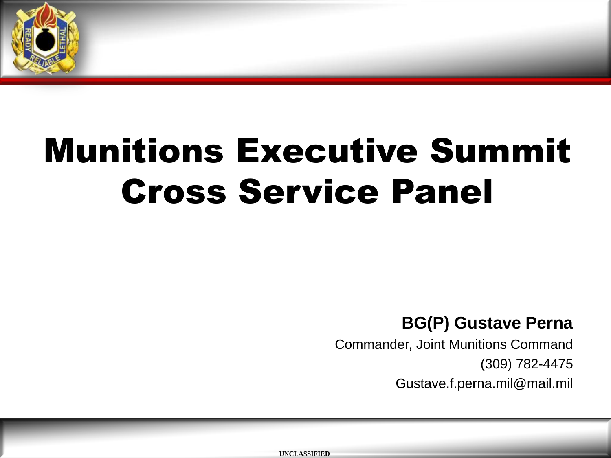

# Munitions Executive Summit Cross Service Panel

#### **BG(P) Gustave Perna**

Commander, Joint Munitions Command (309) 782-4475 Gustave.f.perna.mil@mail.mil

 **UNCLASSIFIED**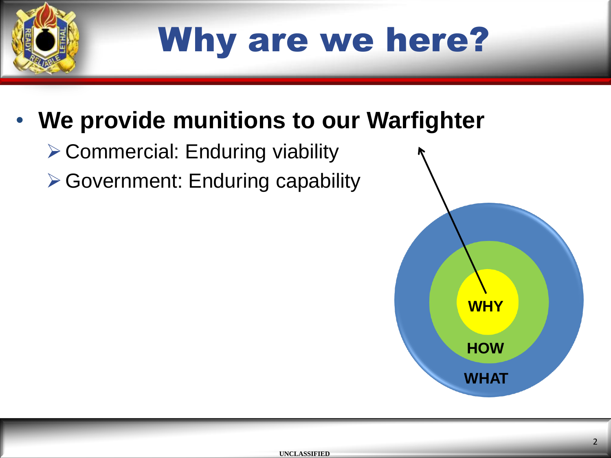

# Why are we here?

### • **We provide munitions to our Warfighter**

- ▶ Commercial: Enduring viability
- ▶ Government: Enduring capability

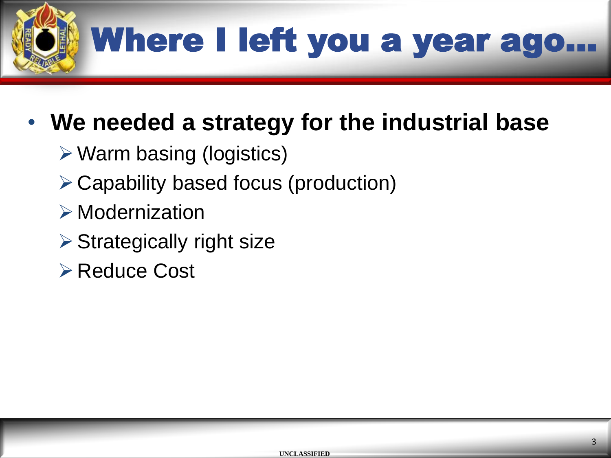

### • **We needed a strategy for the industrial base**

- $\triangleright$  Warm basing (logistics)
- $\triangleright$  Capability based focus (production)
- $\triangleright$  Modernization
- $\triangleright$  Strategically right size
- **≻ Reduce Cost**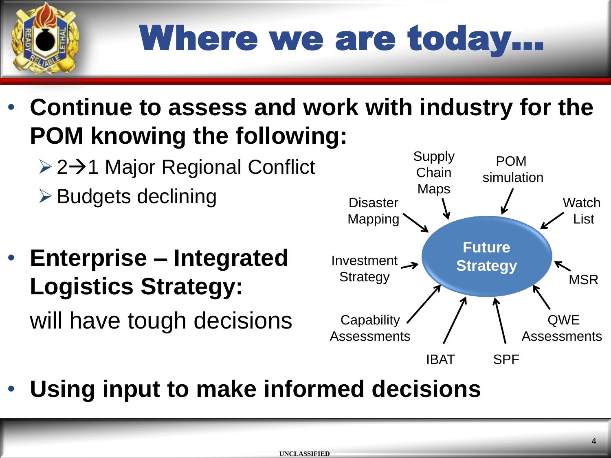

# Where we are today...

- **Continue to assess and work with industry for the POM knowing the following:**
	- **2→1 Major Regional Conflict**
	- $\triangleright$  Budgets declining
- **Enterprise – Integrated Logistics Strategy:**

will have tough decisions



• **Using input to make informed decisions**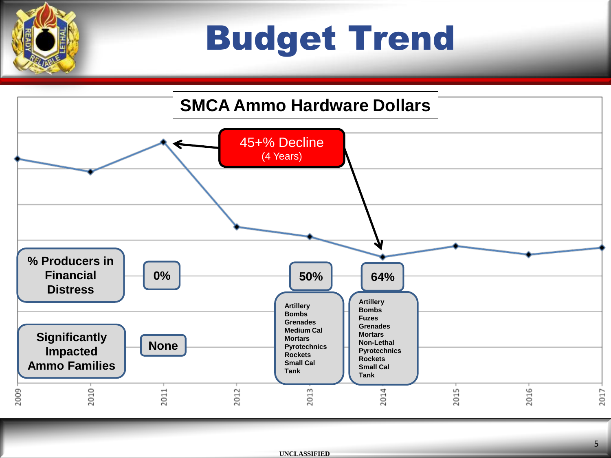# Budget Trend

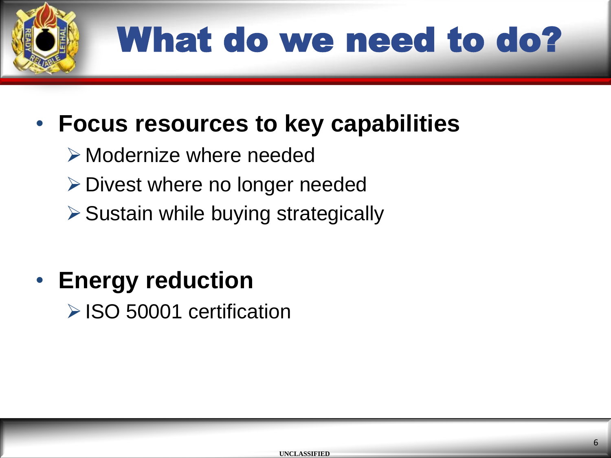

# What do we need to do?

### • **Focus resources to key capabilities**

- Modernize where needed
- **≻ Divest where no longer needed**
- $\triangleright$  Sustain while buying strategically

### • **Energy reduction**

**► ISO 50001 certification**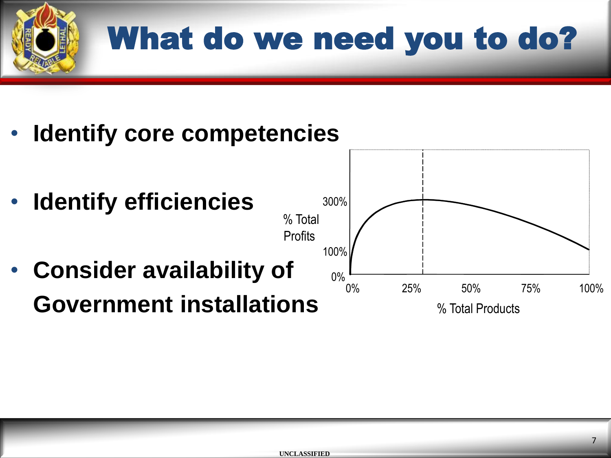

## What do we need you to do?

- **Identify core competencies**
- 0% 25% 50% 75% 100% 100% 300%  $0\%$   $\frac{1}{0\%}$ • **Identify efficiencies** • **Consider availability of Government installations 8. Main Products** % Total **Profits**